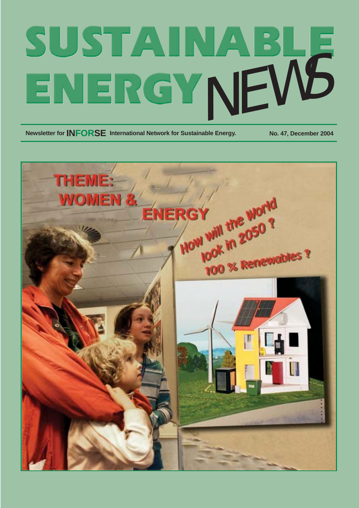# SUSTAINABLE

**Newsletter for INFORSE** International Network for Sustainable Energy. No. 47, December 2004

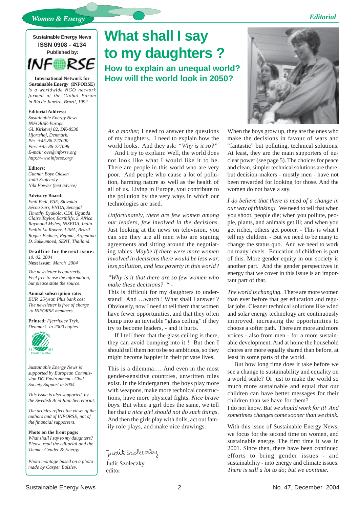### *Editorial*

*Women & Energy*

### **Sustainable Energy News ISSN 0908 - 4134 Published by:**

**INF** 

**International Network for Sustainable Energy (INFORSE)** *is a worldwide NGO network formed at the Global Forum in Rio de Janeiro, Brazil, 1992*

#### **Editorial Address:**

*Sustainable Energy News INFORSE-Europe Gl. Kirkevej 82, DK-8530 Hjortshøj, Denmark. Ph: +45-86-227000 Fax: +45-86-227096 E-mail: ove@inforse.org http://www.inforse.org/*

#### **Editors:**

*Gunnar Boye Olesen Judit Szoleczky Niki Fowler (text advice)*

#### **Advisory Board:**

*Emil Bedi, FAE, Slovakia Sécou Sarr, ENDA, Senegal Timothy Byakola, CDI, Uganda Claire Taylor, Earthlife, S. Africa Raymond Myles, INSEDA, India Emilio La Rovere, LIMA, Brazil Roque Pedace, Rejima, Argentina D. Sukkumoed, SENT, Thailand*

**Deadline for the next issue:** *10. 02. 2004* **Next issue:** *March 2004*

*The newsletter is quarterly. Feel free to use the information, but please state the source.*

### **Annual subscription rate:**

*EUR 25/year. Plus bank cost The newsletter is free of charge to INFORSE members*

**Printed:** *Fjerritslev Tryk, Denmark in 2000 copies*



*Sustainable Energy News is supported by European Commission DG Environment - Civil Society Support in 2004.*

*This issue is also supported by the Swedish Acid Rain Secretariat.*

*The articles reflect the views of the authors and of INFORSE, not of the financial supporters.*

#### **Photo on the front page:**

*What shall I say to my daughters? Please read the editorial and the Theme: Gender & Energy*

*Photo montage based on a photo made by Casper Balslev.*

### **What shall I say to my daughters ?**

**How to explain an unequal world? How will the world look in 2050?**

*As a mother,* I need to answer the questions of my daughters. I need to explain how the world looks. And they ask: *"Why is it so?"*

And I try to explain: Well, the world does not look like what I would like it to be. There are people in this world who are very poor. And people who cause a lot of pollution, harming nature as well as the health of all of us. Living in Europe, you contribute to the pollution by the very ways in which our technologies are used.

*Unfortunately, there are few women among our leaders, few involved in the decisions*. Just looking at the news on television, you can see they are all men who are signing agreements and sitting around the negotiating tables. *Maybe if there were more women involved in decisions there would be less war, less pollution, and less poverty in this world?*

#### *"Why is it that there are so few women who make these decisions?* " -

This is difficult for my daughters to understand! And …watch ! What shall I answer ? Obviously, now I need to tell them that women have fewer opportunities, and that they often bump into an invisible "glass ceiling" if they try to become leaders, - and it hurts.

If I tell them that the glass ceiling is there, they can avoid bumping into it ! But then I should tell them not to be so ambitious, so they might become happier in their private lives.

This is a dilemma…. And even in the most gender-sensitive countries, unwritten rules exist. In the kindergarten, the boys play more with weapons, make more technical constructions, have more physical fights. *Nice brave boys.* But when a girl does the same, we tell her that *a nice girl should not do such things*. And then the girls play with dolls, act out family role plays, and make nice drawings.

Judit Szoleczzy

Judit Szoleczky editor



When the boys grow up, they are the ones who make the decisions in favour of wars and "fantastic" but polluting, technical solutions. At least, they are the main supporters of nuclear power (see page 5). The choices for peace and clean, simpler technical solutions are there, but decision-makers - mostly men - have not been rewarded for looking for those. And the women do not have a say.

*I do believe that there is need of a change in our way of thinking!* We need to tell that when you shoot, people die; when you pollute, people, plants, and animals get ill; and when you get richer, others get poorer. - This is what I tell my children. - But we need to be many to change the status quo. And we need to work on many levels. Education of children is part of this. More gender equity in our society is another part. And the gender perspectives in energy that we cover in this issue is an important part of that.

*The world is changing.* There are more women than ever before that get education and regular jobs. Cleaner technical solutions like wind and solar energy technology are continuously improved, increasing the opportunities to choose a softer path. There are more and more voices - also from men - for a more sustainable development. And at home the household chores are more equally shared than before, at least in some parts of the world.

But how long time does it take before we see a change to sustainability and equality on a world scale? Or just to make the world so much more sustainable and equal that our children can have better messages for their children than we have for them?

I do not know. *But we should work for it! And sometimes changes come sooner than we think.*

With this issue of Sustainable Energy News, we focus for the second time on women, and sustainable energy. The first time it was in 2001. Since then, there have been continued efforts to bring gender issues - and sustainability - into energy and climate issues. *There is still a lot to do; but we continue.*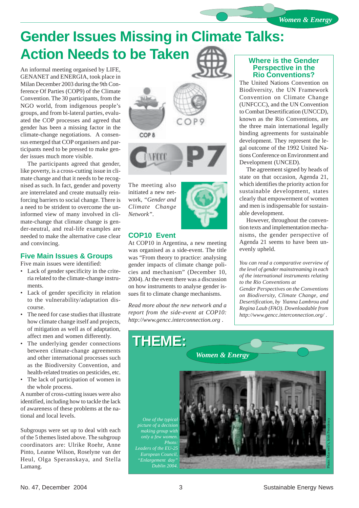### **Gender Issues Missing in Climate Talks: Action Needs to be Taken**

An informal meeting organised by LIFE, GENANET and ENERGIA, took place in Milan December 2003 during the 9th Conference Of Parties (COP9) of the Climate Convention. The 30 participants, from the NGO world, from indigenous people's groups, and from bi-lateral parties, evaluated the COP processes and agreed that gender has been a missing factor in the climate-change negotiations. A consensus emerged that COP organisers and participants need to be pressed to make gender issues much more visible.

The participants agreed that gender, like poverty, is a cross-cutting issue in climate change and that it needs to be recognised as such. In fact, gender and poverty are interrelated and create mutually reinforcing barriers to social change. There is a need to be strident to overcome the uninformed view of many involved in climate-change that climate change is gender-neutral, and real-life examples are needed to make the alternative case clear and convincing.

### **Five Main Issues & Groups**

Five main issues were identified:

- Lack of gender specificity in the criteria related to the climate-change instruments.
- Lack of gender specificity in relation to the vulnerability/adaptation discourse.
- The need for case studies that illustrate how climate change itself and projects, of mitigation as well as of adaptation, affect men and women differently.
- The underlying gender connections between climate-change agreements and other international processes such as the Biodiversity Convention, and health-related treaties on pesticides, etc.
- The lack of participation of women in the whole process.

A number of cross-cutting issues were also identified, including how to tackle the lack of awareness of these problems at the national and local levels.

Subgroups were set up to deal with each of the 5 themes listed above. The subgroup coordinators are: Ulrike Roehr, Anne Pinto, Leanne Wilson, Roselyne van der Heul, Olga Speranskaya, and Stella Lamang.



The meeting also initiated a new network, *"Gender and Climate Change Network"*.

### **COP10 Event**

At COP10 in Argentina, a new meeting was organised as a side-event. The title was "From theory to practice: analysing gender impacts of climate change policies and mechanism" (December 10, 2004). At the event there was a discussion on how instruments to analyse gender issues fit to climate change mechanisms.

*Read more about the new network and a report from the side-event at COP10: http://www.gencc.interconnection.org .*

### **Where is the Gender Perspective in the Rio Conventions?**

The United Nations Convention on Biodiversity, the UN Framework Convention on Climate Change (UNFCCC), and the UN Convention to Combat Desertification (UNCCD), known as the Rio Conventions, are the three main international legally binding agreements for sustainable development. They represent the legal outcome of the 1992 United Nations Conference on Environment and Development (UNCED).

The agreement signed by heads of state on that occasion, Agenda 21, which identifies the priority action for sustainable development, states clearly that empowerment of women and men is indispensable for sustainable development.

However, throughout the convention texts and implementation mechanisms, the gender perspective of Agenda 21 seems to have been unevenly upheld.

*You can read a comparative overview of the level of gender mainstreaming in each of the international instruments relating to the Rio Conventions at Gender Perspectives on the Conventions on Biodiversity, Climate Change, and Desertification, by Yianna Lambrou and Regina Laub (FAO). Downloadable from http://www.gencc.interconnection.org/ .*

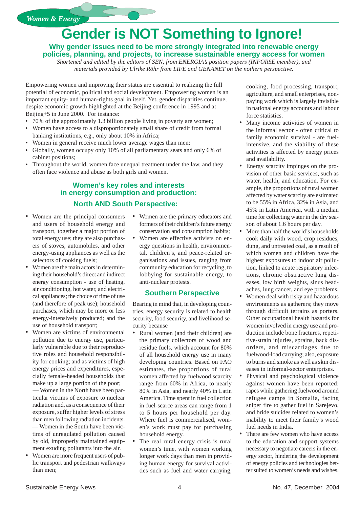*Women & Energy*

### **Gender is NOT Something to Ignore!**

**Why gender issues need to be more strongly integrated into renewable energy policies, planning, and projects, to increase sustainable energy access for women**

*Shortened and edited by the editors of SEN, from ENERGIA's position papers (INFORSE member), and materials provided by Ulrike Röhr from LIFE and GENANET on the nothern perspective.*

Empowering women and improving their status are essential to realizing the full potential of economic, political and social development. Empowering women is an important equity- and human-rights goal in itself. Yet, gender disparities continue, despite economic growth highlighted at the Beijing conference in 1995 and at Beijing+5 in June 2000. For instance:

- 70% of the approximately 1.3 billion people living in poverty are women;
- Women have access to a disproportionately small share of credit from formal banking institutions, e.g., only about 10% in Africa;
- Women in general receive much lower average wages than men;
- Globally, women occupy only 10% of all parliamentary seats and only 6% of cabinet positions;
- Throughout the world, women face unequal treatment under the law, and they often face violence and abuse as both girls and women.

### **Women's key roles and interests in energy consumption and production: North AND South Perspective:**

- Women are the principal consumers and users of household energy and transport, together a major portion of total energy use; they are also purchasers of stoves, automobiles, and other energy-using appliances as well as the selectors of cooking fuels;
- Women are the main actors in determining their household's direct and indirect energy consumption - use of heating, air conditioning, hot water, and electrical appliances; the choice of time of use (and therefore of peak use); household purchases, which may be more or less energy-intensively produced; and the use of household transport;
- Women are victims of environmental pollution due to energy use, particularly vulnerable due to their reproductive roles and household responsibility for cooking; and as victims of high energy prices and expenditures, especially female-headed households that make up a large portion of the poor; — Women in the North have been particular victims of exposure to nuclear radiation and, as a consequence of their exposure, suffer higher levels of stress than men following radiation incidents. — Women in the South have been victims of unregulated pollution caused by old, improperly maintained equipment exuding pollutants into the air.
- Women are more frequent users of public transport and pedestrian walkways than men;
- Women are the primary educators and formers of their children's future energy conservation and consumption habits;
- Women are effective activists on energy questions in health, environmental, children's, and peace-related organisations and issues, ranging from community education for recycling, to lobbying for sustainable energy, to anti-nuclear protests.

### **Southern Perspective**

Bearing in mind that, in developing countries, energy security is related to health security, food security, and livelihood security because

- Rural women (and their children) are the primary collectors of wood and residue fuels, which account for 80% of all household energy use in many developing countries. Based on FAO estimates, the proportions of rural women affected by fuelwood scarcity range from 60% in Africa, to nearly 80% in Asia, and nearly 40% in Latin America. Time spent in fuel collection in fuel-scarce areas can range from 1 to 5 hours per household per day. Where fuel is commercialised, women's work must pay for purchasing household energy.
- The real rural energy crisis is rural women's time, with women working longer work days than men in providing human energy for survival activities such as fuel and water carrying,

cooking, food processing, transport, agriculture, and small enterprises, nonpaying work which is largely invisible in national energy accounts and labour force statistics.

- Many income activities of women in the informal sector - often critical to family economic survival - are fuelintensive, and the viability of these activities is affected by energy prices and availability.
- Energy scarcity impinges on the provision of other basic services, such as water, health, and education. For example, the proportions of rural women affected by water scarcity are estimated to be 55% in Africa, 32% in Asia, and 45% in Latin America, with a median time for collecting water in the dry season of about 1.6 hours per day.
- More than half the world's households cook daily with wood, crop residues, dung, and untreated coal, as a result of which women and children have the highest exposures to indoor air pollution, linked to acute respiratory infections, chronic obstructive lung diseases, low birth weights, sinus headaches, lung cancer, and eye problems.
- Women deal with risky and hazardous environments as gatherers; they move through difficult terrains as porters. Other occupational health hazards for women involved in energy use and production include bone fractures, repetitive-strain injuries, sprains, back disorders, and miscarriages due to fuelwood-load carrying; also, exposure to burns and smoke as well as skin diseases in informal-sector enterprises.
- Physical and psychological violence against women have been reported: rapes while gathering fuelwood around refugee camps in Somalia, facing sniper fire to gather fuel in Sarejevo, and bride suicides related to women's inability to meet their family's wood fuel needs in India.
- There are few women who have access to the education and support systems necessary to negotiate careers in the energy sector, hindering the development of energy policies and technologies better suited to women's needs and wishes.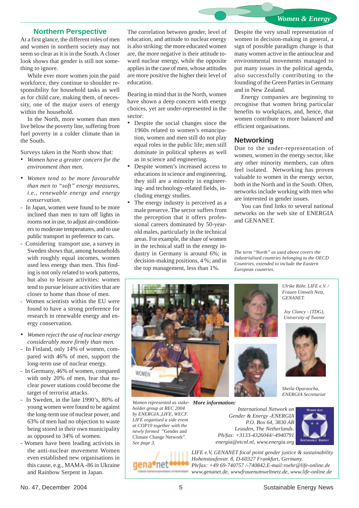### *Women & Energy*

### **Northern Perspective**

At a first glance, the different roles of men and women in northern society may not seem so clear as it is in the South. A closer look shows that gender is still not something to ignore.

While ever more women join the paid workforce, they continue to shoulder responsibility for household tasks as well as for child care, making them, of necessity, one of the major users of energy within the household.

In the North, more women than men live below the poverty line, suffering from fuel poverty in a colder climate than in the South.

Surveys taken in the North show that:

- *• Women have a greater concern for the environment than men*.
- *• Women tend to be more favourable than men to "soft" energy measures, i.e., renewable energy and energy conservation.*
- In Japan, women were found to be more inclined than men to turn off lights in rooms not in use, to adjust air-conditioners to moderate temperatures, and to use public transport in preference to cars.
- Considering transport use, a survey in Sweden shows that, among households with roughly equal incomes, women used less energy than men. This finding is not only related to work patterns, but also to leisure activities: women tend to pursue leisure activities that are closer to home than those of men.
- Women scientists within the EU were found to have a strong preference for research in renewable energy and energy conservation.
- *• Women reject the use of nuclear energy considerably more firmly than men.*
- In Finland, only 14% of women, compared with 46% of men, support the long-term use of nuclear energy.
- In Germany, 46% of women, compared with only 20% of men, fear that nuclear power stations could become the target of terrorist attacks.
- In Sweden, in the late 1990's, 80% of young women were found to be against the long-term use of nuclear power, and 63% of men had no objection to waste being stored in their own municipality as opposed to 34% of women.
- Women have been leading activists in the anti-nuclear movement Women even established new organisations in this cause, e.g., MAMA -86 in Ukraine and Rainbow Serpent in Japan.

The correlation between gender, level of education, and attitude to nuclear energy is also striking: the more educated women are, the more negative is their attitude toward nuclear energy, while the opposite applies in the case of men, whose attitudes are more positive the higher their level of education.

Bearing in mind that in the North, women have shown a deep concern with energy choices, yet are under-represented in the sector:

- Despite the social changes since the 1960s related to women's emancipation, women and men still do not play equal roles in the public life; men still dominate in political spheres as well as in science and engineering.
- Despite women's increased access to educations in science and engineering, they still are a minority in engineering- and technology-related fields, including energy studies.
- The energy industry is perceived as a male preserve. The sector suffers from the perception that it offers professional careers dominated by 50-yearold males, particularly in the technical areas. For example, the share of women in the technical staff in the energy industry in Germany is around 6%; in decision-making positions, 4 %; and in the top management, less than 1%.

Despite the very small representation of women in decision-making in general, a sign of possible paradigm change is that many women active in the antinuclear and environmental movements managed to put many issues in the political agenda, also successfully contributing to the founding of the Green Parties in Germany and in New Zealand.

Energy companies are beginning to recognise that women bring particular benefits to workplaces, and, hence, that women contribute to more balanced and efficient organisations.

#### **Networking**

Due to the under-representation of women, women in the energy sector, like any other minority members, can often feel isolated. Networking has proven valuable to women in the energy sector, both in the North and in the South. Often, networks include working with men who are interested in gender issues.

You can find links to several national networks on the web site of ENERGIA and GENANET.

*The term "North" as used above covers the industrialised countries belonging to the OECD Countries, extended to include the Eastern European countries.*



 *More information: Women represented as stakeholder group at REC 2004 by ENERGIA.,LIFE, WECF. LIFE organised a side event at COP10 together with the newly formed* "Gender and Climate Change Network"*. See page 3.*







*International Network on Gender & Energy -ENERGIA P.O. Box 64, 3830 AB Leusden, The Netherlands. Ph/fax: +3133-4326044/-4940791 energia@etcnl.nl, www.energia.org*



*LIFE e.V, GENANET focal point gender justice & sustainability Hohenstaufenstr. 8, D-60327 Frankfurt, Germany. Ph/fax: +49 69-740757 /-740842.E-mail:roehr@life-online.de www.genanet.de, wwwfrauenumweltnetz.de, www.life-online.de*

*Frauen Umwelt Netz, GENANET.*

*Ulrike Röhr, LIFE e.V. /*

*Joy Clancy - (TDG), University of Twente*



*Sheila Oparaocha, ENERGIA Secretariat*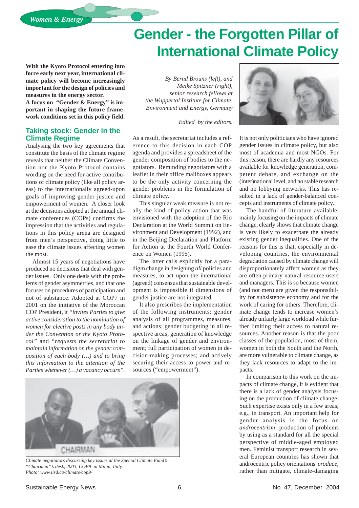### **Gender - the Forgotten Pillar of International Climate Policy**

**With the Kyoto Protocol entering into force early next year, international climate policy will become increasingly important for the design of policies and measures in the energy sector.**

**A focus on "Gender & Energy" is important in shaping the future framework conditions set in this policy field.**

### **Taking stock: Gender in the Climate Regime**

Analysing the two key agreements that constitute the basis of the climate regime reveals that neither the Climate Convention nor the Kyoto Protocol contains wording on the need for active contributions of climate policy (like all policy areas) to the internationally agreed-upon goals of improving gender justice and empowerment of women. A closer look at the decisions adopted at the annual climate conferences (COPs) confirms the impression that the activities and regulations in this policy arena are designed from men's perspective, doing little to ease the climate issues affecting women the most.

Almost 15 years of negotiations have produced no decisions that deal with gender issues. Only one deals with the problems of gender asymmetries, and that one focuses on procedures of participation and not of substance. Adopted at COP7 in 2001 on the initiative of the Moroccan COP President, it *"invites Parties to give active consideration to the nomination of women for elective posts in any body under the Convention or the Kyoto Protocol"* and *"requests the secretariat to maintain information on the gender composition of each body (…) and to bring this information to the attention of the Parties whenever (…) a vacancy occurs"*.

*By Bernd Brouns (left), and Meike Spitzner (right), senior research fellows at the Wuppertal Institute for Climate, Environment and Energy, Germany*

*Edited by the editors.*

As a result, the secretariat includes a reference to this decision in each COP agenda and provides a spreadsheet of the gender composition of bodies to the negotiators. Reminding negotiators with a leaflet in their office mailboxes appears to be the only activity concerning the gender problems in the formulation of climate policy.

This singular weak measure is not really the kind of policy action that was envisioned with the adoption of the Rio Declaration at the World Summit on Environment and Development (1992), and in the Beijing Declaration and Platform for Action at the Fourth World Conference on Women (1995).

The latter calls explicitly for a paradigm change in designing *all* policies and measures, to act upon the international (agreed) consensus that sustainable development is impossible if dimensions of gender justice are not integrated.

It also prescribes the implementation of the following instruments: gender analysis of all programmes, measures, and actions; gender budgeting in all respective areas; generation of knowledge on the linkage of gender and environment; full participation of women in decision-making processes; and actively securing their access to power and resources ("empowerment").



*Climate negotiators discussing key issues at the Special Climate Fund's "Chairman"'s desk, 2003, COP9 in Milan, Italy. Photo: www.iisd.ca/climate/cop9/*



It is not only politicians who have ignored gender issues in climate policy, but also most of academia and most NGOs. For this reason, there are hardly any resources available for knowledge generation, competent debate, and exchange on the (inter)national level, and no stable research and no lobbying networks. This has resulted in a lack of gender-balanced concepts and instruments of climate policy.

The handful of literature available, mainly focusing on the impacts of climate change, clearly shows that climate change is very likely to exacerbate the already existing gender inequalities. One of the reasons for this is that, especially in developing countries, the environmental degradation caused by climate change will disproportionately affect women as they are often primary natural resource users and managers. This is so because women (and not men) are given the responsibility for subsistence economy and for the work of caring for others. Therefore, climate change tends to increase women's already unfairly large workload while further limiting their access to natural resources. Another reason is that the poor classes of the population, most of them, women in both the South and the North, are more vulnerable to climate change, as they lack resources to adapt to the impacts.

In comparison to this work on the impacts of climate change, it is evident that there is a lack of gender analysis focusing on the production of climate change. Such expertise exists only in a few areas, e.g., in transport. An important help for gender analysis is the focus on *androcentrism*: production of problems by using as a standard for all the special perspective of middle-aged employed men. Feminist transport research in several European countries has shown that androcentric policy orientations *produce*, rather than mitigate, climate-damaging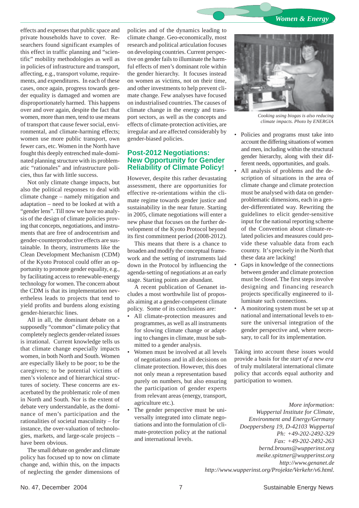

effects and expenses that public space and private households have to cover. Researchers found significant examples of this effect in traffic planning and "scientific" mobility methodologies as well as in policies of infrastructure and transport, affecting, e.g., transport volume, requirements, and expenditures. In each of these cases, once again, progress towards gender equality is damaged and women are disproportionately harmed. This happens over and over again, despite the fact that women, more than men, tend to use means of transport that cause fewer social, environmental, and climate-harming effects; women use more public transport, own fewer cars, etc. Women in the North have fought this deeply entrenched male-dominated planning structure with its problematic "rationales" and infrastructure policies, thus far with little success.

Not only climate change impacts, but also the political responses to deal with climate change – namely mitigation and adaptation – need to be looked at with a "gender lens". Till now we have no analysis of the design of climate policies proving that concepts, negotiations, and instruments that are free of androcentrism and gender-counterproductive effects are sustainable. In theory, instruments like the Clean Development Mechanism (CDM) of the Kyoto Protocol could offer an opportunity to promote gender equality, e.g., by facilitating access to renewable-energy technology for women. The concern about the CDM is that its implementation nevertheless leads to projects that tend to yield profits and burdens along existing gender-hierarchic lines.

All in all, the dominant debate on a supposedly "common" climate policy that completely neglects gender-related issues is irrational. Current knowledge tells us that climate change especially impacts women, in both North and South. Women are especially likely to be poor; to be the caregivers; to be potential victims of men's violence and of hierarchical structures of society. These concerns are exacerbated by the problematic role of men in North and South. Nor is the extent of debate very understandable, as the dominance of men's participation and the rationalities of societal masculinity – for instance, the over-valuation of technologies, markets, and large-scale projects – have been obvious.

The small debate on gender and climate policy has focused up to now on climate change and, within this, on the impacts of neglecting the gender dimensions of policies and of the dynamics leading to climate change. Geo-economically, most research and political articulation focuses on developing countries. Current perspective on gender fails to illuminate the harmful effects of men's dominant role within the gender hierarchy. It focuses instead on women as victims, not on their time, and other investments to help prevent climate change. Few analyses have focused on industrialised countries. The causes of climate change in the energy and transport sectors, as well as the concepts and effects of climate-protection activities, are irregular and are affected considerably by gender-biased policies.

### **Post-2012 Negotiations: New Opportunity for Gender Reliability of Climate Policy!**

However, despite this rather devastating assessment, there are opportunities for effective re-orientations within the climate regime towards gender justice and sustainability in the near future. Starting in 2005, climate negotiations will enter a new phase that focuses on the further development of the Kyoto Protocol beyond its first commitment period (2008-2012).

This means that there is a chance to broaden and modify the conceptual framework and the setting of instruments laid down in the Protocol by influencing the agenda-setting of negotiations at an early stage. Starting points are abundant.

A recent publication of Genanet includes a most worthwhile list of proposals aiming at a gender-competent climate policy. Some of its conclusions are:

- All climate-protection measures and programmes, as well as all instruments for slowing climate change or adapting to changes in climate, must be submitted to a gender analysis.
- Women must be involved at all levels of negotiations and in all decisions on climate protection. However, this does not only mean a representation based purely on numbers, but also ensuring the participation of gender experts from relevant areas (energy, transport, agriculture etc.).
- The gender perspective must be universally integrated into climate negotiations and into the formulation of climate-protection policy at the national and international levels.



*Cooking using biogas is also reducing climate impacts. Photo by ENERGIA*

- Policies and programs must take into account the differing situations of women and men, including within the structural gender hierarchy, along with their different needs, opportunities, and goals.
- All analysis of problems and the description of situations in the area of climate change and climate protection must be analysed with data on genderproblematic dimensions, each in a gender-differentiated way. Rewriting the guidelines to elicit gender-sensitive input for the national reporting scheme of the Convention about climate-related policies and measures could provide these valuable data from each country. It's precisely in the North that these data are lacking!
- Gaps in knowledge of the connections between gender and climate protection must be closed. The first steps involve designing and financing research projects specifically engineered to illuminate such connections.
- A monitoring system must be set up at national and international levels to ensure the universal integration of the gender perspective and, where necessary, to call for its implementation.

Taking into account these issues would provide a basis for the *start of a new era* of truly multilateral international climate policy that accords equal authority and participation to women.

*More information: Wuppertal Institute for Climate, Environment and Energy/Germany Doeppersberg 19, D-42103 Wuppertal Ph: +49-202-2492-329 Fax: +49-202-2492-263 bernd.brouns@wupperinst.org meike.spitzner@wupperinst.org http://www.genanet.de http://www.wupperinst.org/Projekte/Verkehr/v6.html.*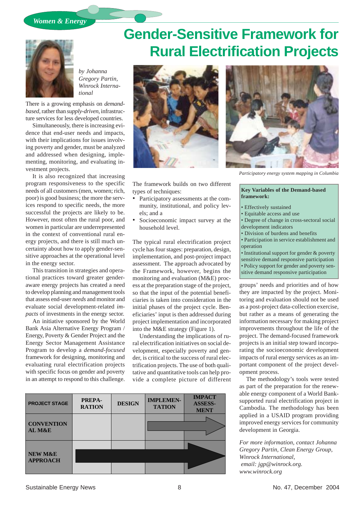

*by Johanna Gregory Partin, Winrock International*

There is a growing emphasis on *demandbased*, rather than *supply-driven*, infrastructure services for less developed countries.

Simultaneously, there is increasing evidence that end-user needs and impacts, with their implications for issues involving poverty and gender, must be analyzed and addressed when designing, implementing, monitoring, and evaluating investment projects.

It is also recognized that increasing program responsiveness to the specific needs of all customers (men, women; rich, poor) is good business; the more the services respond to specific needs, the more successful the projects are likely to be. However, most often the rural poor, and women in particular are underrepresented in the context of conventional rural energy projects, and there is still much uncertainty about how to apply gender-sensitive approaches at the operational level in the energy sector.

This transition in strategies and operational practices toward greater genderaware energy projects has created a need to develop planning and management tools that assess end-user *needs* and monitor and evaluate social development-related *impacts* of investments in the energy sector.

An initiative sponsored by the World Bank Asia Alternative Energy Program / Energy, Poverty & Gender Project and the Energy Sector Management Assistance Program to develop a *demand-focused* framework for designing, monitoring and evaluating rural electrification projects with specific focus on gender and poverty in an attempt to respond to this challenge.

# **Gender-Sensitive Framework for Rural Electrification Projects**



The framework builds on two different types of techniques:

- Participatory assessments at the community, institutional, and policy levels; and a
- Socioeconomic impact survey at the household level.

The typical rural electrification project cycle has four stages: preparation, design, implementation, and post-project impact assessment. The approach advocated by the Framework, however, begins the monitoring and evaluation (M&E) process at the preparation stage of the project, so that the input of the potential beneficiaries is taken into consideration in the initial phases of the project cycle. Beneficiaries' input is then addressed during project implementation and incorporated into the M&E strategy (Figure 1).

Understanding the implications of rural electrification initiatives on social development, especially poverty and gender, is critical to the success of rural electrification projects. The use of both qualitative and quantitative tools can help provide a complete picture of different





*Participatory energy system mapping in Columbia*

#### **Key Variables of the Demand-based framework:**

- Effectively sustained
- Equitable access and use
- Degree of change in cross-sectoral social development indicators
- Division of burdens and benefits
- Participation in service establishment and operation
- Institutional support for gender & poverty
- sensitive demand responsive participation • Policy support for gender and poverty sen-
- sitive demand responsive participation

groups' needs and priorities and of how they are impacted by the project. Monitoring and evaluation should not be used as a post-project data-collection exercise, but rather as a means of generating the information necessary for making project improvements throughout the life of the project. The demand-focused framework projects is an initial step toward incorporating the socioeconomic development impacts of rural energy services as an important component of the project development process.

The methodology's tools were tested as part of the preparation for the renewable energy component of a World Banksupported rural electrification project in Cambodia. The methodology has been applied in a USAID program providing improved energy services for community development in Georgia.

*For more information, contact Johanna Gregory Partin, Clean Energy Group, Winrock International, email: jgp@winrock.org. www.winrock.org*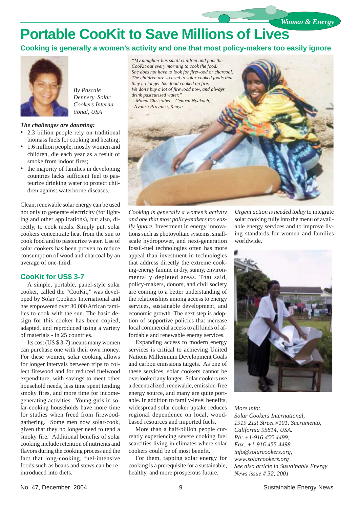### **Portable CooKit to Save Millions of Lives**

**Cooking is generally a women's activity and one that most policy-makers too easily ignore**



*By Pascale Dennery, Solar Cookers International, USA*

#### *The challenges are daunting:*

- 2.3 billion people rely on traditional biomass fuels for cooking and heating;
- 1.6 million people, mostly women and children, die each year as a result of smoke from indoor fires;
- the majority of families in developing countries lacks sufficient fuel to pasteurize drinking water to protect children against waterborne diseases.

Clean, renewable solar energy can be used not only to generate electricity (for lighting and other applications), but also, directly, to cook meals. Simply put, solar cookers concentrate heat from the sun to cook food and to pasteurize water. Use of solar cookers has been proven to reduce consumption of wood and charcoal by an average of one-third.

### **CooKit for US\$ 3-7**

A simple, portable, panel-style solar cooker, called the "CooKit," was developed by Solar Cookers International and has empowered over 30,000 African families to cook with the sun. The basic design for this cooker has been copied, adapted, and reproduced using a variety of materials - in 25 countries.

Its cost (US \$ 3-7) means many women can purchase one with their own money. For these women, solar cooking allows for longer intervals between trips to collect firewood and for reduced fuelwood expenditure, with savings to meet other household needs, less time spent tending smoky fires, and more time for incomegenerating activities. Young girls in solar-cooking households have more time for studies when freed from firewoodgathering. Some men now solar-cook, given that they no longer need to tend a smoky fire. Additional benefits of solar cooking include retention of nutrients and flavors during the cooking process and the fact that long-cooking, fuel-intensive foods such as beans and stews can be reintroduced into diets.

*"My daughter has small children and puts the CooKit out every morning to cook the food. She does not have to look for firewood or charcoal. they no longer like food cooked on fire. We don't buy a lot of firewood now, and always drink pasteurized water." - Mama Christabel – Central Nyakach, Nyanza Province, Kenya*



*Cooking is generally a women's activity and one that most policy-makers too easily ignore*. Investment in energy innovations such as photovoltaic systems, smallscale hydropower, and next-generation fossil-fuel technologies often has more appeal than investment in technologies that address directly the extreme cooking-energy famine in dry, sunny, environmentally depleted areas. That said, policy-makers, donors, and civil society are coming to a better understanding of the relationships among access to energy services, sustainable development, and economic growth. The next step is adoption of supportive policies that increase local commercial access to all kinds of affordable and renewable energy services.

Expanding access to modern energy services is critical to achieving United Nations Millennium Development Goals and carbon emissions targets. As one of these services, solar cookers cannot be overlooked any longer. Solar cookers use a decentralized, renewable, emission-free energy source, and many are quite portable. In addition to family-level benefits, widespread solar cooker uptake reduces regional dependence on local, woodbased resources and imported fuels.

More than a half-billion people currently experiencing severe cooking fuel scarcities living in climates where solar cookers could be of most benefit.

For them, tapping solar energy for cooking is a prerequisite for a sustainable, healthy, and more prosperous future.

*Urgent action is needed today* to integrate solar cooking fully into the menu of available energy services and to improve living standards for women and families worldwide.

*Women & Energy*



*More info: Solar Cookers International, 1919 21st Street #101, Sacramento, California 95814, USA. Ph: +1-916 455 4499; Fax: +1-916 455 4498 info@solarcookers.org, www.solarcookers.org See also article in Sustainable Energy News issue # 32, 2001*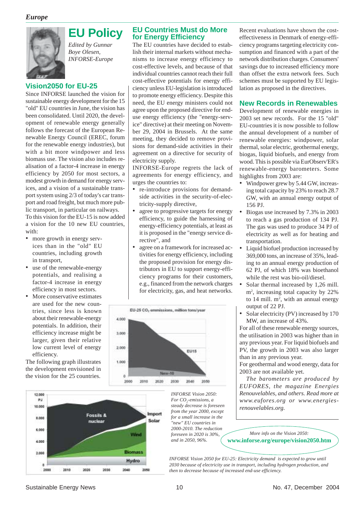

### **EU Policy** *Edited by Gunnar*

*Boye Olesen, INFORSE-Europe*

### **Vision2050 for EU-25**

Since INFORSE launched the vision for sustainable energy development for the 15 "old" EU countries in June, the vision has been consolidated. Until 2020, the development of renewable energy generally follows the forecast of the European Renewable Energy Council (EREC, forum for the renewable energy industries), but with a bit more windpower and less biomass use. The vision also includes realisation of a factor-4 increase in energy efficiency by 2050 for most sectors, a modest growth in demand for energy services, and a vision of a sustainable transport system using 2/3 of today's car transport and road freight, but much more public transport, in particular on railways. To this vision for the EU-15 is now added a vision for the 10 new EU countries, with:

- more growth in energy services than in the "old" EU countries, including growth in transport,
- use of the renewable-energy potentials, and realising a factor-4 increase in energy efficiency in most sectors.
- More conservative estimates are used for the new countries, since less is known about their renewable-energy potentials. In addition, their efficiency increase might be larger, given their relative low current level of energy efficiency.

The following graph illustrates the development envisioned in the vision for the 25 countries.



### **EU Countries Must do More for Energy Efficiency**

The EU countries have decided to establish their internal markets without mechanisms to increase energy efficiency to cost-effective levels, and because of that individual countries cannot reach their full cost-effective potentials for energy efficiency unless EU-legislation is introduced to promote energy efficiency. Despite this need, the EU energy ministers could not agree upon the proposed directive for enduse energy efficiency (the "energy-service" directive) at their meeting on November 29, 2004 in Brussels. At the same meeting, they decided to remove provisions for demand-side activities in their agreement on a directive for security of electricity supply.

INFORSE-Europe regrets the lack of agreements for energy efficiency, and urges the countries to:

- re-introduce provisions for demandside activities in the security-of-electricity-supply directive,
- agree to progressive targets for energy efficiency, to guide the harnessing of energy-efficiency potentials, at least as it is proposed in the "energy service directive", and
- agree on a framework for increased activities for energy efficiency, including the proposed provision for energy distributors in EU to support energy-efficiency programs for their customers, e.g., financed from the network charges for electricity, gas, and heat networks.



*INFORSE Vision 2050: For CO2 -emissions, a steady decrease is foreseen from the year 2000, except for a small increase in the "new" EU countries in 2000-2010. The reduction foreseen in 2020 is 30%,*

Recent evaluations have shown the costeffectiveness in Denmark of energy-efficiency programs targeting electricity consumption and financed with a part of the network distribution charges. Consumers' savings due to increased efficiency more than offset the extra network fees. Such schemes must be supported by EU legislation as proposed in the directives.

### **New Records in Renewables**

Development of renewable energies in 2003 set new records. For the 15 "old" EU-countries it is now possible to follow the annual development of a number of renewable energies: windpower, solar thermal, solar electric, geothermal energy, biogas, liquid biofuels, and energy from wood. This is possible via EurObserv'ER's renewable-energy barometers. Some highlights from 2003 are:

- Windpower grew by 5.44 GW, increasing total capacity by 23% to reach 28.7 GW, with an annual energy output of 156 PJ.
- Biogas use increased by 7.3% in 2003 to reach a gas production of 134 PJ. The gas was used to produce 34 PJ of electricity as well as for heating and transportation.
- Liquid biofuel production increased by 369,000 tons, an increase of 35%, leading to an annual energy production of 62 PJ, of which 18% was bioethanol while the rest was bio-oil/diesel.
- Solar thermal increased by 1,26 mill. m2 , increasing total capacity by 22% to  $14$  mill.  $m^2$ , with an annual energy output of 22 PJ.
- Solar electricity (PV) increased by 170 MW, an increase of 43%.

For all of these renewable energy sources, the utilisation in 2003 was higher than in any previous year. For liquid biofuels and PV, the growth in 2003 was also larger than in any previous year.

For geothermal and wood energy, data for 2003 are not available yet.

*The barometers are produced by EUFORES, the magazine Energies Renouvelables, and others. Read more at www.eufores.org or www.energiesrenouvelables.org.*

*and in 2050, 96%.* **www.inforse.org/europe/vision2050.htm** *More info on the Vision 2050:*

*INFORSE Vision 2050 for EU-25: Electricity demand is expected to grow until 2030 because of electricity use in transport, including hydrogen production, and then to decrease because of increased end-use efficiency.*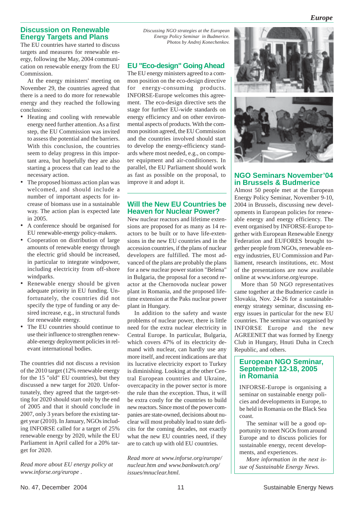### **Discussion on Renewable Energy Targets and Plans**

The EU countries have started to discuss targets and measures for renewable energy, following the May, 2004 communication on renewable energy from the EU Commission.

At the energy ministers' meeting on November 29, the countries agreed that there is a need to do more for renewable energy and they reached the following conclusions:

- Heating and cooling with renewable energy need further attention. As a first step, the EU Commission was invited to assess the potential and the barriers. With this conclusion, the countries seem to delay progress in this important area, but hopefully they are also starting a process that can lead to the necessary action.
- The proposed biomass action plan was welcomed, and should include a number of important aspects for increase of biomass use in a sustainable way. The action plan is expected late in 2005.
- A conference should be organised for EU renewable-energy policy-makers.
- Cooperation on distribution of large amounts of renewable energy through the electric grid should be increased, in particular to integrate windpower, including electricity from off-shore windparks.
- Renewable energy should be given adequate priority in EU funding. Unfortunately, the countries did not specify the type of funding or any desired increase, e.g., in structural funds for renewable energy.
- The EU countries should continue to use their influence to strengthen renewable-energy deployment policies in relevant international bodies.

The countries did not discuss a revision of the 2010 target (12% renewable energy for the 15 "old" EU countries), but they discussed a new target for 2020. Unfortunately, they agreed that the target-setting for 2020 should start only by the end of 2005 and that it should conclude in 2007, only 3 years before the existing target year (2010). In January, NGOs including INFORSE called for a target of 25% renewable energy by 2020, while the EU Parliament in April called for a 20% target for 2020.

*Read more about EU energy policy at www.inforse.org/europe .*

*Discussing NGO strategies at the European Energy Policy Seminar in Budmerice. Photos by Andrej Konechenkov.*

### **EU "Eco-design" Going Ahead**

The EU energy ministers agreed to a common position on the eco-design directive for energy-consuming products. INFORSE-Europe welcomes this agreement. The eco-design directive sets the stage for further EU-wide standards on energy efficiency and on other environmental aspects of products. With the common position agreed, the EU Commission and the countries involved should start to develop the energy-efficiency standards where most needed, e.g., on computer equipment and air-conditioners. In parallel, the EU Parliament should work as fast as possible on the proposal, to improve it and adopt it.

### **Will the New EU Countries be Heaven for Nuclear Power?**

New nuclear reactors and lifetime extensions are proposed for as many as 14 reactors to be built or to have life-extensions in the new EU countries and in the accession countries, if the plans of nuclear developers are fulfilled. The most advanced of the plans are probably the plans for a new nuclear power station "Belena" in Bulgaria, the proposal for a second reactor at the Chernovoda nuclear power plant in Romania, and the proposed lifetime extension at the Paks nuclear power plant in Hungary.

In addition to the safety and waste problems of nuclear power, there is little need for the extra nuclear electricity in Central Europe. In particular, Bulgaria, which covers 47% of its electricity demand with nuclear, can hardly use any more itself, and recent indications are that its lucrative electricity export to Turkey is diminishing. Looking at the other Central European countries and Ukraine, overcapacity in the power sector is more the rule than the exception. Thus, it will be extra costly for the countries to build new reactors. Since most of the power companies are state-owned, decisions about nuclear will most probably lead to state deficits for the coming decades, not exactly what the new EU countries need, if they are to catch up with old EU countries.

*Read more at www.inforse.org/europe/ nuclear.htm and www.bankwatch.org/ issues/mnuclear.html.*



### **NGO Seminars November'04 in Brussels & Budmerice**

Almost 50 people met at the European Energy Policy Seminar, November 9-10, 2004 in Brussels, discussing new developments in European policies for renewable energy and energy efficiency. The event organised by INFORSE-Europe together with European Renewable Energy Federation and EUFORES brought together people from NGOs, renewable energy industries, EU Commission and Parliament, research institutions, etc. Most of the presentations are now available online at www.inforse.org/europe.

More than 50 NGO representatives came together at the Budmerice castle in Slovakia, Nov. 24-26 for a sustainableenergy strategy seminar, discussing energy issues in particular for the new EU countries. The seminar was organised by INFORSE Europe and the new AGREENET that was formed by Energy Club in Hungary, Hnuti Duha in Czech Republic, and others.

### **European NGO Seminar, September 12-18, 2005 in Romania**

INFORSE-Europe is organising a seminar on sustainable energy policies and developments in Europe, to be held in Romania on the Black Sea coast.

The seminar will be a good opportunity to meet NGOs from around Europe and to discuss policies for sustainable energy, recent developments, and experiences.

*More information in the next issue of Sustainable Energy News.*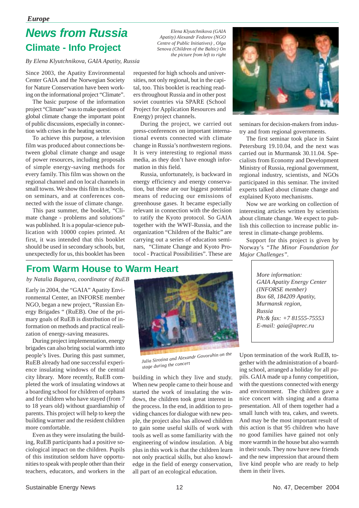### *Europe*

### **Climate - Info Project News from Russia**

*By Elena Klyutchnikova, GAIA Apatity, Russia*

Since 2003, the Apatity Environmental Center GAIA and the Norwegian Society for Nature Conservation have been working on the informational project "Climate".

The basic purpose of the information project "Climate" was to make questions of global climate change the important point of public discussions, especially in connection with crises in the heating sector.

To achieve this purpose, a television film was produced about connections between global climate change and usage of power resources, including proposals of simple energy-saving methods for every family. This film was shown on the regional channel and on local channels in small towns. We show this film in schools, on seminars, and at conferences connected with the issue of climate change.

This past summer, the booklet, "Climate change - problems and solutions" was published. It is a popular-science publication with 10000 copies printed. At first, it was intended that this booklet should be used in secondary schools, but, unexpectedly for us, this booklet has been

*Elena Klyutchnikova (GAIA Apatity) Alexandr Fedorov (NGO Centre of Public Initiatives) , Olga Senova (Children of the Baltic) On the picture from left to right*

requested for high schools and universities, not only regional, but in the capital, too. This booklet is reaching readers throughout Russia and in other post soviet countries via SPARE (School Project for Application Resources and Energy) project channels.

During the project, we carried out press-conferences on important international events connected with climate change in Russia's northwestern regions. It is very interesting to regional mass media, as they don't have enough information in this field.

Russia, unfortunately, is backward in energy efficiency and energy conservation, but these are our biggest potential means of reducing our emissions of greenhouse gases. It became especially relevant in connection with the decision to ratify the Kyoto protocol. So GAIA together with the WWF-Russia, and the organization "Children of the Baltic" are carrying out a series of education seminars, "Climate Change and Kyoto Protocol - Practical Possibilities". These are



seminars for decision-makers from industry and from regional governments.

The first seminar took place in Saint Petersburg 19.10.04, and the next was carried out in Murmansk 30.11.04. Specialists from Economy and Development Ministry of Russia, regional government, regional industry, scientists, and NGOs participated in this seminar. The invited experts talked about climate change and explained Kyoto mechanisms.

Now we are working on collection of interesting articles written by scientists about climate change. We expect to publish this collection to increase public interest in climate-change problems.

Support for this project is given by Norway's *"The Minor Foundation for Major Challenges".*

### **From Warm House to Warm Heart**

*by Natalia Bagaeva, coordinator of RuEB*

Early in 2004, the "GAIA" Apatity Environmental Center, an INFORSE member NGO, began a new project, "Russian Energy Brigades " (RuEB). One of the primary goals of RuEB is distribution of information on methods and practical realization of energy-saving measures.

During project implementation, energy brigades can also bring social warmth into people's lives. During this past summer, RuEB already had one successful experience insulating windows of the central city library. More recently, RuEB completed the work of insulating windows at a boarding school for children of orphans and for children who have stayed (from 7 to 18 years old) without guardianship of parents. This project will help to keep the building warmer and the resident children more comfortable.

Even as they were insulating the building, RuEB participants had a positive sociological impact on the children. Pupils of this institution seldom have opportunities to speak with people other than their teachers, educators, and workers in the



*Julia Sirotina and Alexandr Govoruhin on the stage during the concert*

building in which they live and study. When new people came to their house and started the work of insulating the windows, the children took great interest in the process. In the end, in addition to providing chances for dialogue with new people, the project also has allowed children to gain some useful skills of work with tools as well as some familiarity with the engineering of window insulation. A big plus in this work is that the children learn not only practical skills, but also knowledge in the field of energy conservation, all part of an ecological education.

*More information: GAIA Apatity Energy Center (INFORSE member) Box 68, 184209 Apatity, Murmansk region, Russia Ph:& fax: +7 81555-75553 E-mail: gaia@aprec.ru*

Upon termination of the work RuEB, together with the administration of a boarding school, arranged a holiday for all pupils. GAIA made up a funny competition, with the questions connected with energy and environment. The children gave a nice concert with singing and a drama presentation. All of them together had a small lunch with tea, cakes, and sweets. And may be the most important result of this action is that 95 children who have no good families have gained not only more warmth in the house but also warmth in their souls. They now have new friends and the new impression that around them live kind people who are ready to help them in their lives.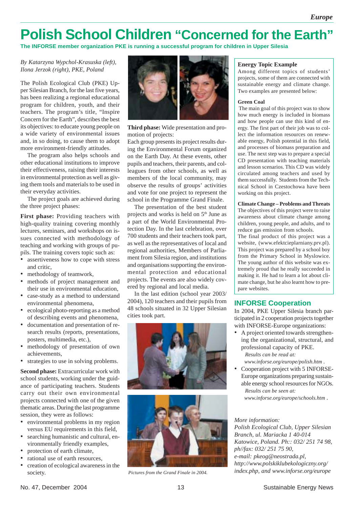### **Polish School Children "Concerned for the Earth"**

**The INFORSE member organization PKE is running a successful program for children in Upper Silesia**

### *By Katarzyna Wypchol-Krasuska (left),*

The Polish Ecological Club (PKE) Upper Silesian Branch, for the last five years, has been realizing a regional educational program for children, youth, and their teachers. The program's title, "Inspire Concern for the Earth", describes the best its objectives: to educate young people on a wide variety of environmental issues and, in so doing, to cause them to adopt more environment-friendly attitudes.

The program also helps schools and other educational institutions to improve their effectiveness, raising their interests in environmental protection as well as giving them tools and materials to be used in their everyday activities.

The project goals are achieved during the three project phases:

**First phase:** Providing teachers with high-quality training covering monthly lectures, seminars, and workshops on issues connected with methodology of teaching and working with groups of pupils. The training covers topic such as:

- assertiveness how to cope with stress and critic,
- methodology of teamwork,
- methods of project management and their use in environmental education,
- case-study as a method to understand environmental phenomena,
- ecological photo-reporting as a method of describing events and phenomena,
- documentation and presentation of research results (reports, presentations, posters, multimedia, etc.),
- methodology of presentation of own achievements,
- strategies to use in solving problems.

**Second phase:** Extracurricular work with school students, working under the guidance of participating teachers. Students carry out their own environmental projects connected with one of the given thematic areas. During the last programme session, they were as follows:

- environmental problems in my region versus EU requirements in this field,
- searching humanistic and cultural, environmentally friendly examples,
- protection of earth climate,
- rational use of earth resources,
- creation of ecological awareness in the society.



**Third phase:** Wide presentation and promotion of projects:

Each group presents its project results during the Environmental Forum organized on the Earth Day. At these events, other pupils and teachers, their parents, and colleagues from other schools, as well as members of the local community, may observe the results of groups' activities and vote for one project to represent the school in the Programme Grand Finale.

The presentation of the best student projects and works is held on 5th June as a part of the World Environmental Protection Day. In the last celebration, over 700 students and their teachers took part, as well as the representatives of local and regional authorities, Members of Parliament from Silesia region, and institutions and organisations supporting the environmental protection and educational projects. The events are also widely covered by regional and local media.

In the last edition (school year 2003/ 2004), 120 teachers and their pupils from 48 schools situated in 32 Upper Silesian cities took part.





Among different topics of students' projects, some of them are connected with sustainable energy and climate change. Two examples are presented below:

#### **Green Coal**

 The main goal of this project was to show how much energy is included in biomass and how people can use this kind of energy. The first part of their job was to collect the information resources on renewable energy, Polish potential in this field, and processes of biomass preparation and use. The next step was to prepare a special CD presentation with teaching materials and lesson scenarios. This CD was widely circulated among teachers and used by them successfully. Students from the Technical School in Czestochowa have been working on this project.

#### **Climate Change – Problems and Threats** The objectives of this project were to raise awareness about climate change among children, young people, and adults, and to reduce gas emission from schools.

The final product of this project was a website, (www.efektcieplarniany.prv.pl). This project was prepared by a school boy from the Primary School in Myslowice. The young author of this website was extremely proud that he really succeeded in making it. He had to learn a lot about climate change, but he also learnt how to prepare websites.

### **INFORSE Cooperation**

In 2004, PKE Upper Silesia branch participated in 2 cooperation projects together with INFORSE-Europe organizations:

• A project oriented towards strengthening the organizational, structural, and professional capacity of PKE. *Results can be read at:*

 *www.inforse.org/europe/polish.htm .*

• Cooperation project with 5 INFORSE-Europe organizations preparing sustainable energy school resources for NGOs. *Results can be seen at:*

 *www.inforse.org/europe/schools.htm .*

#### *More information:*

*Polish Ecological Club, Upper Silesian Branch, ul. Mariacka 1 40-014 Katowice, Poland. Ph:: 032/ 251 74 98, ph//fax: 032/ 251 75 90, e-mail: pkeog@neostrada.pl, http://www.polskiklubekologiczny.org/ Pictures from the Grand Finale in 2004. index.php, and www.inforse.org/europe*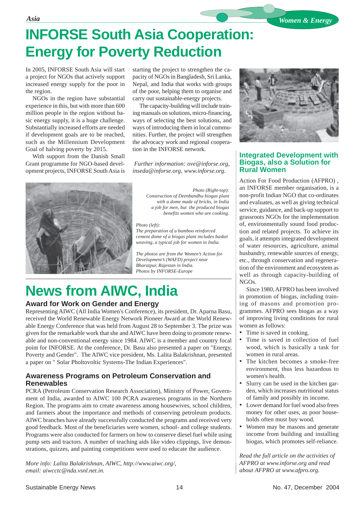## **INFORSE South Asia Cooperation: Energy for Poverty Reduction**

In 2005, INFORSE South Asia will start a project for NGOs that actively support increased energy supply for the poor in the region.

NGOs in the region have substantial experience in this, but with more than 600 million people in the region without basic energy supply, it is a huge challenge. Substantially increased efforts are needed if development goals are to be reached, such as the Millennium Development Goal of halving poverty by 2015.

With support from the Danish Small Grant programme for NGO-based development projects, INFORSE South Asia is starting the project to strengthen the capacity of NGOs in Bangladesh, Sri Lanka, Nepal, and India that works with groups of the poor, helping them to organise and carry out sustainable-energy projects.

The capacity-building will include training manuals on solutions, micro-financing, ways of selecting the best solutions, and ways of introducing them in local communities. Further, the project will strengthen the advocacy work and regional cooperation in the INFORSE network.

 *Further information: ove@inforse.org, inseda@inforse.org, www.inforse.org.*



*Photo (Right-top): Construction of Deenbandhu biogas plant with a dome made of bricks, in India a job for men, but the produced biogas benefits women who are cooking.*

#### *Photo (left):*

*The preparation of a bamboo reinforced cement dome of a biogas plant includes basket weaving, a typical job for women in India.*

*The photos are from the Women's Action for Development's (WAFD) project near Bharatpur, Rajestan in India. Photos by INFORSE-Europe*

### **News from AIWC, India**

### **Award for Work on Gender and Energy**

Representing AIWC (All India Women's Conference), its president, Dr. Aparna Basu, received the World Renewable Energy Network Pioneer Award at the World Renewable Energy Conference that was held from August 28 to September 3. The prize was given for the remarkable work that she and AIWC have been doing to promote renewable and non-conventional energy since 1984. AIWC is a member and country focal point for INFORSE. At the conference, Dr. Basu also presented a paper on "Energy, Poverty and Gender". The AIWC vice president, Ms. Lalita Balakrishnan, presented a paper on " Solar Pholtovoltic Systems-The Indian Experiences".

### **Awareness Programs on Petroleum Conservation and Renewables**

PCRA (Petroleum Conservation Research Association), Ministry of Power, Government of India, awarded to AIWC 100 PCRA awareness programs in the Northern Region. The programs aim to create awareness among housewives, school children, and farmers about the importance and methods of conserving petroleum products. AIWC branches have already successfully conducted the programs and received very good feedback. Most of the beneficiaries were women, school- and college students. Programs were also conducted for farmers on how to conserve diesel fuel while using pump sets and tractors. A number of teaching aids like video clippings, live demonstrations, quizzes, and painting competitions were used to educate the audience.

*More info: Lalita Balakrishnan, AIWC, http://www.aiwc.org/, email: aiwcctc@nda.vsnl.net.in.*



### **Integrated Development with Biogas, also a Solution for Rural Women**

Action For Food Production (AFPRO) , an INFORSE member organisation, is a non-profit Indian NGO that co-ordinates and evaluates, as well as giving technical service, guidance, and back-up support to grassroots NGOs for the implementation of, environmentally sound food production and related projects. To achieve its goals, it attempts integrated development of water resources, agriculture, animal husbandry, renewable sources of energy, etc., through conservation and regeneration of the environment and ecosystem as well as through capacity-building of NGOs.

Since 1980, AFPRO has been involved in promotion of biogas, including training of masons and promotion programmes. AFPRO sees biogas as a way of improving living conditions for rural women as follows:

- Time is saved in cooking.
- Time is saved in collection of fuel wood, which is basically a task for women in rural areas.
- The kitchen becomes a smoke-free environment, thus less hazardous to women's health.
- Slurry can be used in the kitchen garden, which increases nutritional status of family and possibly its income.
- Lower demand for fuel wood also frees money for other uses, as poor households often must buy wood.
- Women may be masons and generate income from building and installing biogas, which promotes self-reliance.

*Read the full article on the activities of AFPRO at www.inforse.org and read about AFPRO at www.afpro.org.*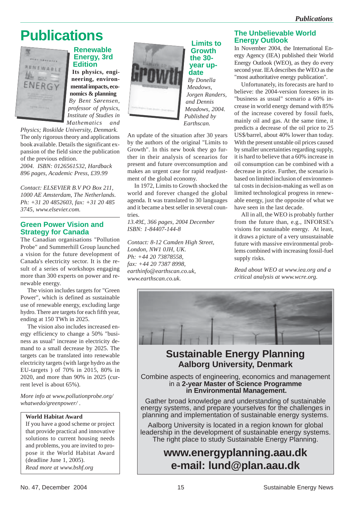### **Publications**



### **Renewable Energy, 3rd Edition**

**Its physics, engineering, environmental impacts, economics & planning** *By Bent Sørensen, professor of physics, Institute of Studies in Mathematics and*

*Physics; Roskilde University, Denmark.* The only rigorous theory and applications book available. Details the significant expansion of the field since the publication of the previous edition.

*2004. ISBN: 0126561532, Hardback 896 pages, Academic Press, £39.99*

*Contact: ELSEVIER B.V PO Box 211, 1000 AE Amsterdam, The Netherlands. Ph: +31 20 4852603, fax: +31 20 485 3745, www.elsevier.com.*

### **Green Power Vision and Strategy for Canada**

The Canadian organisations "Pollution Probe" and Summerhill Group launched a vision for the future development of Canada's electricity sector. It is the result of a series of workshops engaging more than 300 experts on power and renewable energy.

The vision includes targets for "Green Power", which is defined as sustainable use of renewable energy, excluding large hydro. There are targets for each fifth year, ending at 150 TWh in 2025.

The vision also includes increased energy efficiency to change a 50% "business as usual" increase in electricity demand to a small decrease by 2025. The targets can be translated into renewable electricity targets (with large hydro as the EU-targets ) of 70% in 2015, 80% in 2020, and more than 90% in 2025 (current level is about 65%).

*More info at www.pollutionprobe.org/ whatwedo/greenpower/ .*

### **World Habitat Award**

If you have a good scheme or project that provide practical and innovative solutions to current housing needs and problems, you are invited to propose it the World Habitat Award (deadline June 1, 2005). *Read more at www.bshf.org*



**Limits to Growth the 30 year update** *By Donella Meadows, Jorgen Randers,*

*and Dennis Meadows, 2004. Published by Earthscan.*

An update of the situation after 30 years by the authors of the original "Limits to Growth". In this new book they go further in their analysis of scenarios for present and future overconsumption and makes an urgent case for rapid readjustment of the global economy.

In 1972, Limits to Growth shocked the world and forever changed the global agenda. It was translated to 30 languages and it became a best seller in several countries.

*13.49£, 366 pages, 2004 December ISBN: 1-84407-144-8*

*Contact: 8-12 Camden High Street, London, NW1 0JH, UK. Ph: +44 20 73878558, fax: +44 20 7387 8998, earthinfo@earthscan.co.uk, www.earthscan.co.uk.*

### **The Unbelievable World Energy Outlook**

In November 2004, the International Energy Agency (IEA) published their World Energy Outlook (WEO), as they do every second year. IEA describes the WEO as the "most authoritative energy publication".

Unfortunately, its forecasts are hard to believe: the 2004-version foresees in its "business as usual" scenario a 60% increase in world energy demand with 85% of the increase covered by fossil fuels, mainly oil and gas. At the same time, it predicts a decrease of the oil price to 25 US\$/barrel, about 40% lower than today. With the present unstable oil prices caused by smaller uncertainties regarding supply, it is hard to believe that a 60% increase in oil consumption can be combined with a decrease in price. Further, the scenario is based on limited inclusion of environmental costs in decision-making as well as on limited technological progress in renewable energy, just the opposite of what we have seen in the last decade.

All in all, the WEO is probably further from the future than, e.g., INFORSE's visions for sustainable energy. At least, it draws a picture of a very unsustainable future with massive environmental problems combined with increasing fossil-fuel supply risks.

*Read about WEO at www.iea.org and a critical analysis at www.wcre.org.*



### **Sustainable Energy Planning Aalborg University, Denmark**

Combine aspects of engineering, economics and management in a **2-year Master of Science Programme in Environmental Management.**

Gather broad knowledge and understanding of sustainable energy systems, and prepare yourselves for the challenges in planning and implementation of sustainable energy systems.

Aalborg University is located in a region known for global leadership in the development of sustainable energy systems. The right place to study Sustainable Energy Planning.

### **www.energyplanning.aau.dk e-mail: lund@plan.aau.dk**